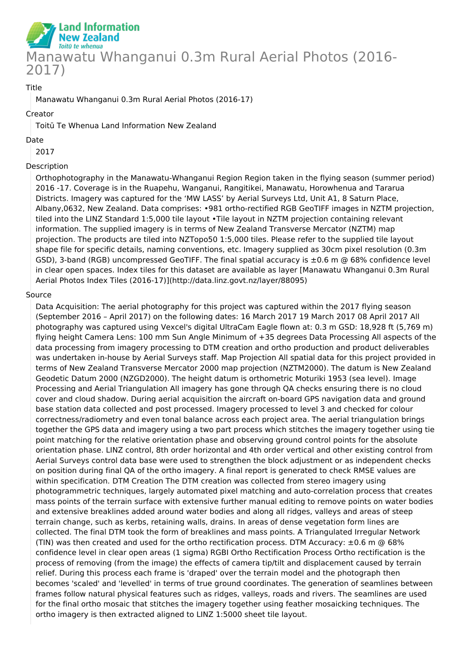

### Title

Manawatu Whanganui 0.3m Rural Aerial Photos (2016-17)

#### Creator

Toitū Te Whenua Land Information New Zealand

#### Date

2017

### Description

Orthophotography in the Manawatu-Whanganui Region Region taken in the flying season (summer period) 2016 -17. Coverage is in the Ruapehu, Wanganui, Rangitikei, Manawatu, Horowhenua and Tararua Districts. Imagery was captured for the 'MW LASS' by Aerial Surveys Ltd, Unit A1, 8 Saturn Place, Albany,0632, New Zealand. Data comprises: •981 ortho-rectified RGB GeoTIFF images in NZTM projection, tiled into the LINZ Standard 1:5,000 tile layout •Tile layout in NZTM projection containing relevant information. The supplied imagery is in terms of New Zealand Transverse Mercator (NZTM) map projection. The products are tiled into NZTopo50 1:5,000 tiles. Please refer to the supplied tile layout shape file for specific details, naming conventions, etc. Imagery supplied as 30cm pixel resolution (0.3m GSD), 3-band (RGB) uncompressed GeoTIFF. The final spatial accuracy is  $\pm 0.6$  m @ 68% confidence level in clear open spaces. Index tiles for this dataset are available as layer [Manawatu Whanganui 0.3m Rural Aerial Photos Index Tiles (2016-17)](http://data.linz.govt.nz/layer/88095)

#### Source

Data Acquisition: The aerial photography for this project was captured within the 2017 flying season (September 2016 – April 2017) on the following dates: 16 March 2017 19 March 2017 08 April 2017 All photography was captured using Vexcel's digital UltraCam Eagle flown at: 0.3 m GSD: 18,928 ft (5,769 m) flying height Camera Lens: 100 mm Sun Angle Minimum of +35 degrees Data Processing All aspects of the data processing from imagery processing to DTM creation and ortho production and product deliverables was undertaken in-house by Aerial Surveys staff. Map Projection All spatial data for this project provided in terms of New Zealand Transverse Mercator 2000 map projection (NZTM2000). The datum is New Zealand Geodetic Datum 2000 (NZGD2000). The height datum is orthometric Moturiki 1953 (sea level). Image Processing and Aerial Triangulation All imagery has gone through QA checks ensuring there is no cloud cover and cloud shadow. During aerial acquisition the aircraft on-board GPS navigation data and ground base station data collected and post processed. Imagery processed to level 3 and checked for colour correctness/radiometry and even tonal balance across each project area. The aerial triangulation brings together the GPS data and imagery using a two part process which stitches the imagery together using tie point matching for the relative orientation phase and observing ground control points for the absolute orientation phase. LINZ control, 8th order horizontal and 4th order vertical and other existing control from Aerial Surveys control data base were used to strengthen the block adjustment or as independent checks on position during final QA of the ortho imagery. A final report is generated to check RMSE values are within specification. DTM Creation The DTM creation was collected from stereo imagery using photogrammetric techniques, largely automated pixel matching and auto-correlation process that creates mass points of the terrain surface with extensive further manual editing to remove points on water bodies and extensive breaklines added around water bodies and along all ridges, valleys and areas of steep terrain change, such as kerbs, retaining walls, drains. In areas of dense vegetation form lines are collected. The final DTM took the form of breaklines and mass points. A Triangulated Irregular Network (TIN) was then created and used for the ortho rectification process. DTM Accuracy:  $\pm 0.6$  m  $\odot$  68% confidence level in clear open areas (1 sigma) RGBI Ortho Rectification Process Ortho rectification is the process of removing (from the image) the effects of camera tip/tilt and displacement caused by terrain relief. During this process each frame is 'draped' over the terrain model and the photograph then becomes 'scaled' and 'levelled' in terms of true ground coordinates. The generation of seamlines between frames follow natural physical features such as ridges, valleys, roads and rivers. The seamlines are used for the final ortho mosaic that stitches the imagery together using feather mosaicking techniques. The ortho imagery is then extracted aligned to LINZ 1:5000 sheet tile layout.